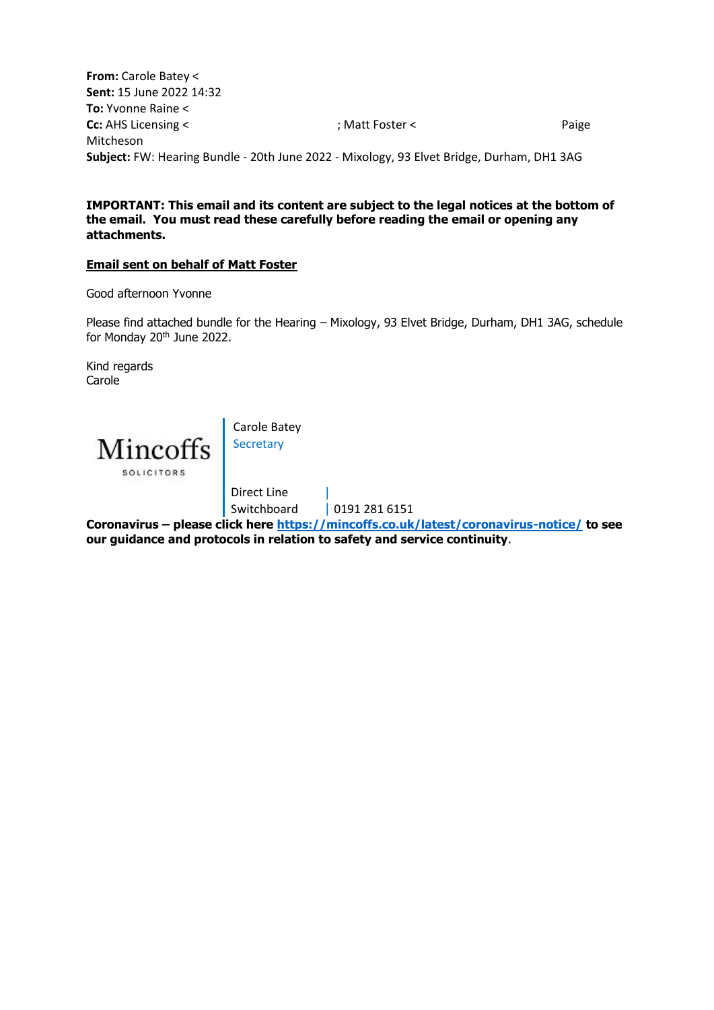**From:** Carole Batey < **Sent:** 15 June 2022 14:32 **To:** Yvonne Raine < **Cc:** AHS Licensing <  $\qquad \qquad$  ; Matt Foster <  $\qquad \qquad$  Paige Mitcheson **Subject:** FW: Hearing Bundle - 20th June 2022 - Mixology, 93 Elvet Bridge, Durham, DH1 3AG

**IMPORTANT: This email and its content are subject to the legal notices at the bottom of the email. You must read these carefully before reading the email or opening any attachments.**

#### **Email sent on behalf of Matt Foster**

Good afternoon Yvonne

Please find attached bundle for the Hearing – Mixology, 93 Elvet Bridge, Durham, DH1 3AG, schedule for Monday 20<sup>th</sup> June 2022.

Kind regards Carole

> Mincoffs SOLICITORS

Carole Batey **Secretary** 

Direct Line Switchboard | 0191 281 6151

**Coronavirus – please click here<https://mincoffs.co.uk/latest/coronavirus-notice/> to see our guidance and protocols in relation to safety and service continuity**.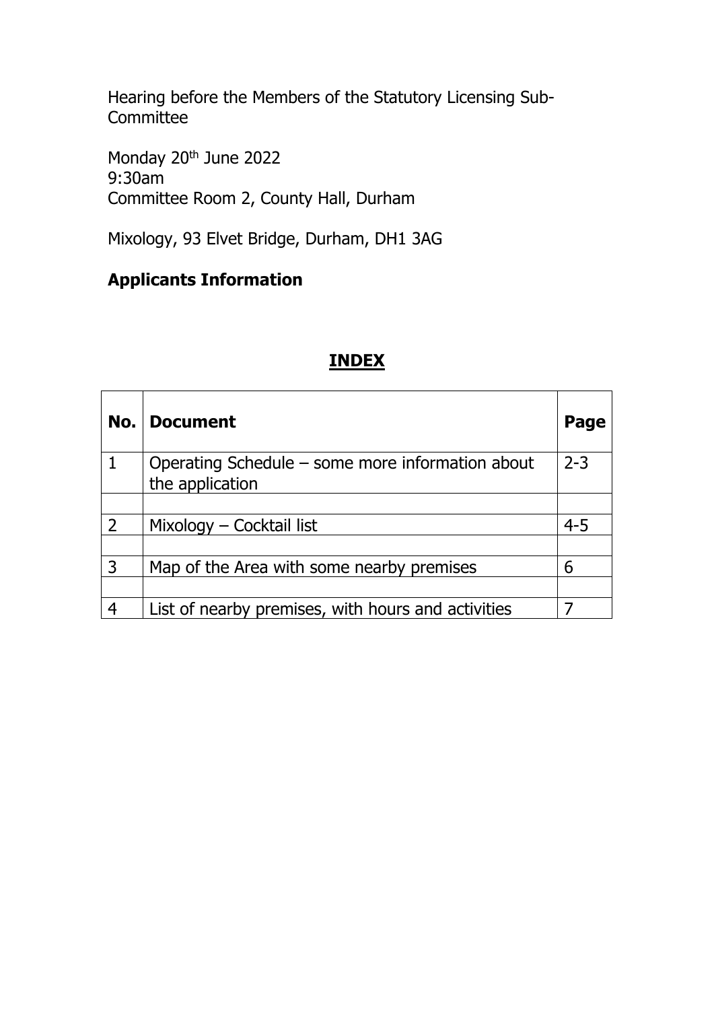Hearing before the Members of the Statutory Licensing Sub-**Committee** 

Monday 20<sup>th</sup> June 2022 9:30am Committee Room 2, County Hall, Durham

Mixology, 93 Elvet Bridge, Durham, DH1 3AG

# **Applicants Information**

| No.                      | <b>Document</b>                                                     | Page    |
|--------------------------|---------------------------------------------------------------------|---------|
|                          | Operating Schedule – some more information about<br>the application | $2 - 3$ |
|                          |                                                                     |         |
| $\overline{\phantom{0}}$ | Mixology – Cocktail list                                            | $4 - 5$ |
| 3                        | Map of the Area with some nearby premises                           | 6       |
| 4                        | List of nearby premises, with hours and activities                  |         |

# **INDEX**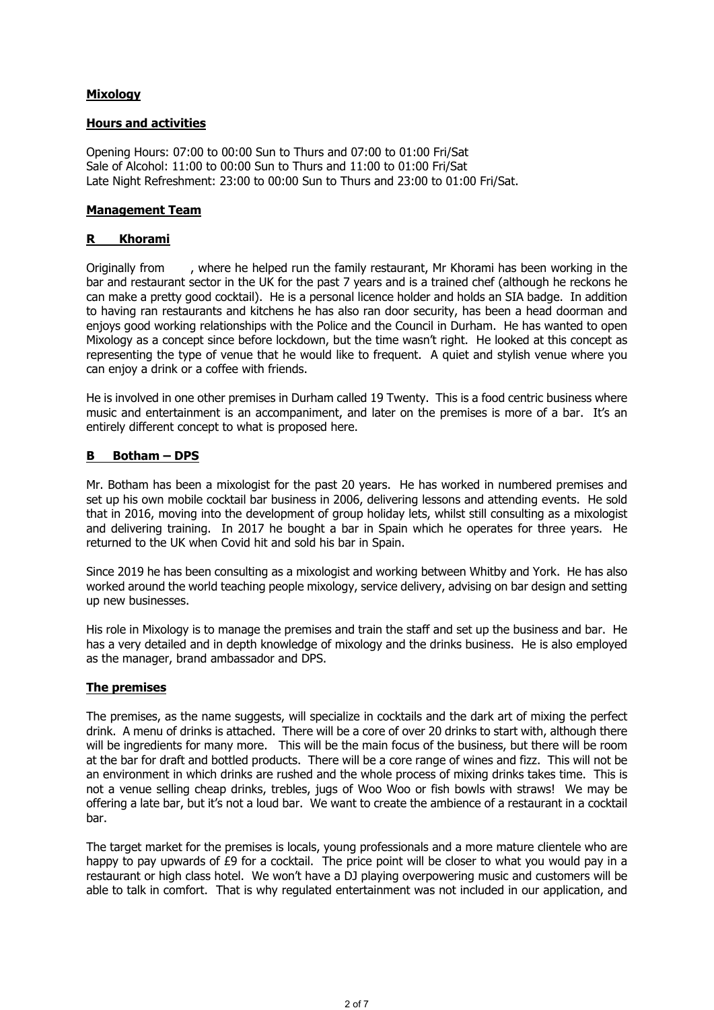### **Mixology**

#### **Hours and activities**

Opening Hours: 07:00 to 00:00 Sun to Thurs and 07:00 to 01:00 Fri/Sat Sale of Alcohol: 11:00 to 00:00 Sun to Thurs and 11:00 to 01:00 Fri/Sat Late Night Refreshment: 23:00 to 00:00 Sun to Thurs and 23:00 to 01:00 Fri/Sat.

#### **Management Team**

#### **R Khorami**

Originally from , where he helped run the family restaurant, Mr Khorami has been working in the bar and restaurant sector in the UK for the past 7 years and is a trained chef (although he reckons he can make a pretty good cocktail). He is a personal licence holder and holds an SIA badge. In addition to having ran restaurants and kitchens he has also ran door security, has been a head doorman and enjoys good working relationships with the Police and the Council in Durham. He has wanted to open Mixology as a concept since before lockdown, but the time wasn't right. He looked at this concept as representing the type of venue that he would like to frequent. A quiet and stylish venue where you can enjoy a drink or a coffee with friends.

He is involved in one other premises in Durham called 19 Twenty. This is a food centric business where music and entertainment is an accompaniment, and later on the premises is more of a bar. It's an entirely different concept to what is proposed here.

#### **B Botham – DPS**

Mr. Botham has been a mixologist for the past 20 years. He has worked in numbered premises and set up his own mobile cocktail bar business in 2006, delivering lessons and attending events. He sold that in 2016, moving into the development of group holiday lets, whilst still consulting as a mixologist and delivering training. In 2017 he bought a bar in Spain which he operates for three years. He returned to the UK when Covid hit and sold his bar in Spain.

Since 2019 he has been consulting as a mixologist and working between Whitby and York. He has also worked around the world teaching people mixology, service delivery, advising on bar design and setting up new businesses.

His role in Mixology is to manage the premises and train the staff and set up the business and bar. He has a very detailed and in depth knowledge of mixology and the drinks business. He is also employed as the manager, brand ambassador and DPS.

#### **The premises**

The premises, as the name suggests, will specialize in cocktails and the dark art of mixing the perfect drink. A menu of drinks is attached. There will be a core of over 20 drinks to start with, although there will be ingredients for many more. This will be the main focus of the business, but there will be room at the bar for draft and bottled products. There will be a core range of wines and fizz. This will not be an environment in which drinks are rushed and the whole process of mixing drinks takes time. This is not a venue selling cheap drinks, trebles, jugs of Woo Woo or fish bowls with straws! We may be offering a late bar, but it's not a loud bar. We want to create the ambience of a restaurant in a cocktail bar.

The target market for the premises is locals, young professionals and a more mature clientele who are happy to pay upwards of £9 for a cocktail. The price point will be closer to what you would pay in a restaurant or high class hotel. We won't have a DJ playing overpowering music and customers will be able to talk in comfort. That is why regulated entertainment was not included in our application, and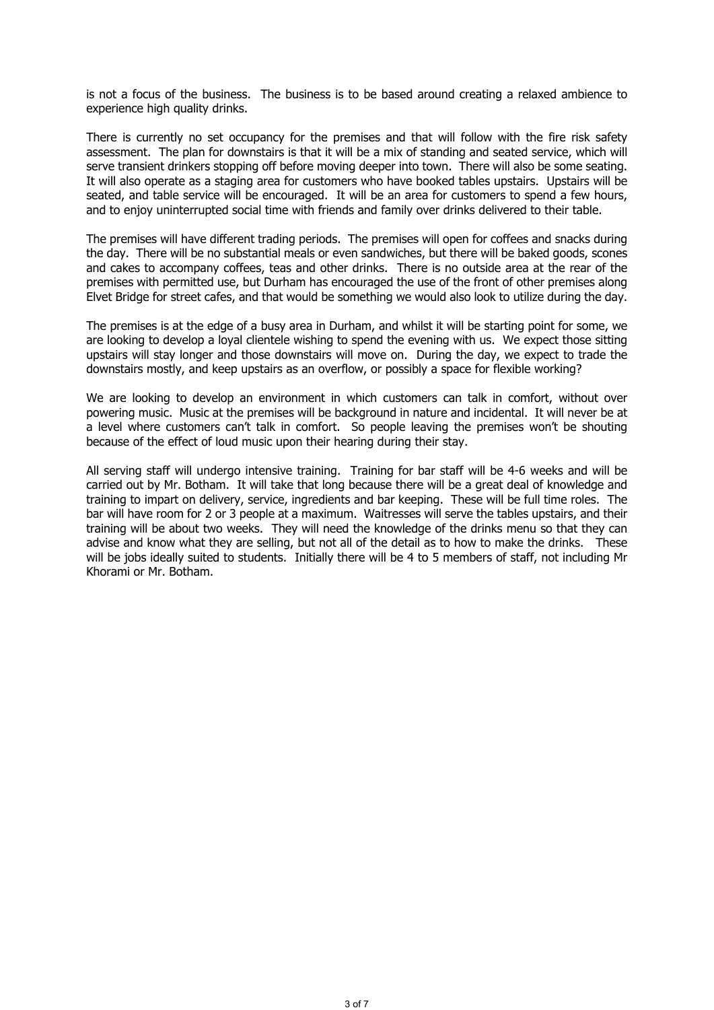is not a focus of the business. The business is to be based around creating a relaxed ambience to experience high quality drinks.

There is currently no set occupancy for the premises and that will follow with the fire risk safety assessment. The plan for downstairs is that it will be a mix of standing and seated service, which will serve transient drinkers stopping off before moving deeper into town. There will also be some seating. It will also operate as a staging area for customers who have booked tables upstairs. Upstairs will be seated, and table service will be encouraged. It will be an area for customers to spend a few hours, and to enjoy uninterrupted social time with friends and family over drinks delivered to their table.

The premises will have different trading periods. The premises will open for coffees and snacks during the day. There will be no substantial meals or even sandwiches, but there will be baked goods, scones and cakes to accompany coffees, teas and other drinks. There is no outside area at the rear of the premises with permitted use, but Durham has encouraged the use of the front of other premises along Elvet Bridge for street cafes, and that would be something we would also look to utilize during the day.

The premises is at the edge of a busy area in Durham, and whilst it will be starting point for some, we are looking to develop a loyal clientele wishing to spend the evening with us. We expect those sitting upstairs will stay longer and those downstairs will move on. During the day, we expect to trade the downstairs mostly, and keep upstairs as an overflow, or possibly a space for flexible working?

We are looking to develop an environment in which customers can talk in comfort, without over powering music. Music at the premises will be background in nature and incidental. It will never be at a level where customers can't talk in comfort. So people leaving the premises won't be shouting because of the effect of loud music upon their hearing during their stay.

All serving staff will undergo intensive training. Training for bar staff will be 4-6 weeks and will be carried out by Mr. Botham. It will take that long because there will be a great deal of knowledge and training to impart on delivery, service, ingredients and bar keeping. These will be full time roles. The bar will have room for 2 or 3 people at a maximum. Waitresses will serve the tables upstairs, and their training will be about two weeks. They will need the knowledge of the drinks menu so that they can advise and know what they are selling, but not all of the detail as to how to make the drinks. These will be jobs ideally suited to students. Initially there will be 4 to 5 members of staff, not including Mr Khorami or Mr. Botham.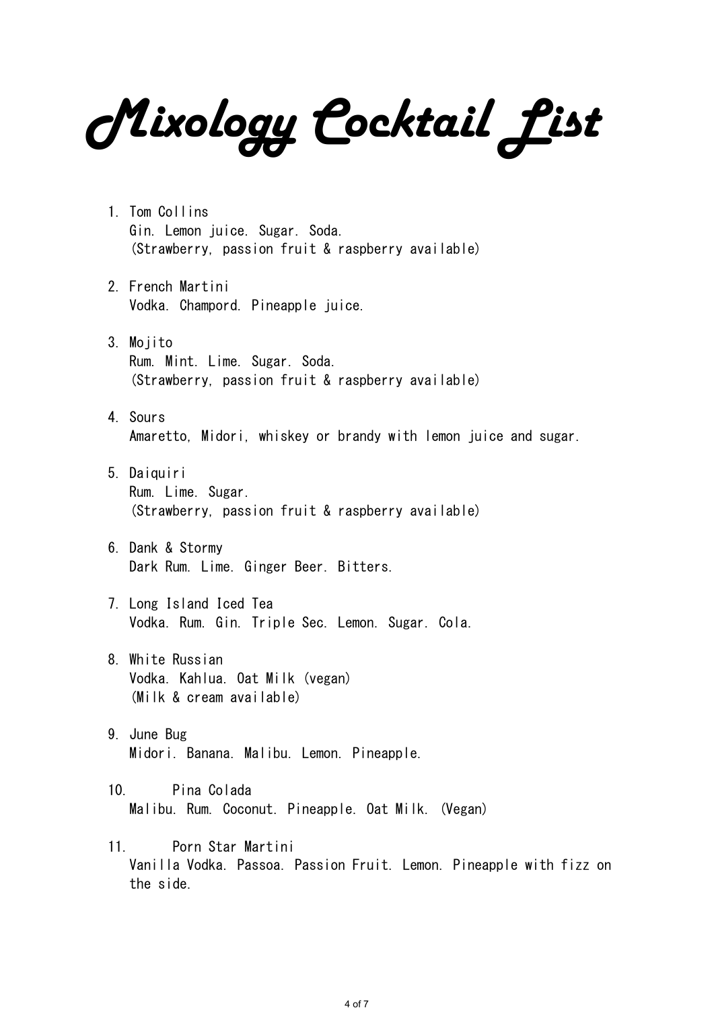*Mixology Cocktail List*

- 1. Tom Collins Gin. Lemon juice. Sugar. Soda. (Strawberry, passion fruit & raspberry available)
- 2. French Martini Vodka. Champord. Pineapple juice.
- 3. Mojito Rum. Mint. Lime. Sugar. Soda. (Strawberry, passion fruit & raspberry available)
- 4. Sours Amaretto, Midori, whiskey or brandy with lemon juice and sugar.
- 5. Daiquiri Rum. Lime. Sugar. (Strawberry, passion fruit & raspberry available)
- 6. Dank & Stormy Dark Rum. Lime. Ginger Beer. Bitters.
- 7. Long Island Iced Tea Vodka. Rum. Gin. Triple Sec. Lemon. Sugar. Cola.
- 8. White Russian Vodka. Kahlua. Oat Milk (vegan) (Milk & cream available)
- 9. June Bug Midori. Banana. Malibu. Lemon. Pineapple.
- 10. Pina Colada Malibu. Rum. Coconut. Pineapple. Oat Milk. (Vegan)
- 11. Porn Star Martini Vanilla Vodka. Passoa. Passion Fruit. Lemon. Pineapple with fizz on the side.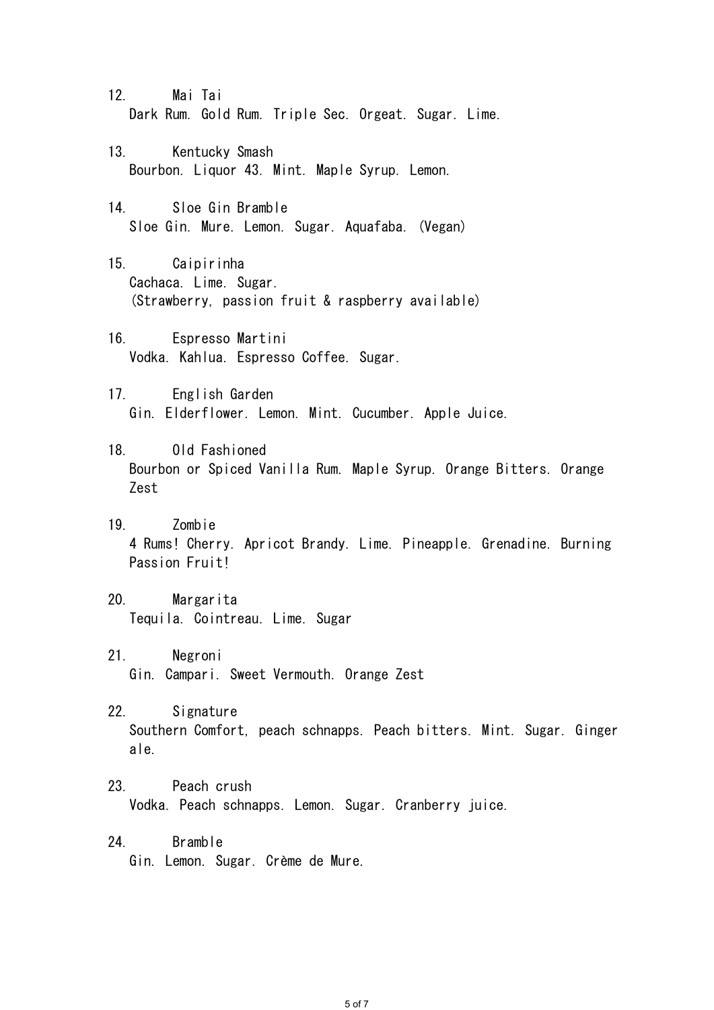- 12. Mai Tai Dark Rum. Gold Rum. Triple Sec. Orgeat. Sugar. Lime.
- 13. Kentucky Smash Bourbon. Liquor 43. Mint. Maple Syrup. Lemon.
- 14. Sloe Gin Bramble Sloe Gin. Mure. Lemon. Sugar. Aquafaba. (Vegan)
- 15. Caipirinha Cachaca. Lime. Sugar. (Strawberry, passion fruit & raspberry available)
- 16. Espresso Martini Vodka. Kahlua. Espresso Coffee. Sugar.
- 17. English Garden Gin. Elderflower. Lemon. Mint. Cucumber. Apple Juice.
- 18. Old Fashioned Bourbon or Spiced Vanilla Rum. Maple Syrup. Orange Bitters. Orange Zest
- 19. Zombie 4 Rums! Cherry. Apricot Brandy. Lime. Pineapple. Grenadine. Burning Passion Fruit!
- 20. Margarita Tequila. Cointreau. Lime. Sugar
- 21. Negroni Gin. Campari. Sweet Vermouth. Orange Zest
- 22. Signature Southern Comfort, peach schnapps. Peach bitters. Mint. Sugar. Ginger ale.
- 23. Peach crush Vodka. Peach schnapps. Lemon. Sugar. Cranberry juice.
- 24. Bramble Gin. Lemon. Sugar. Crème de Mure.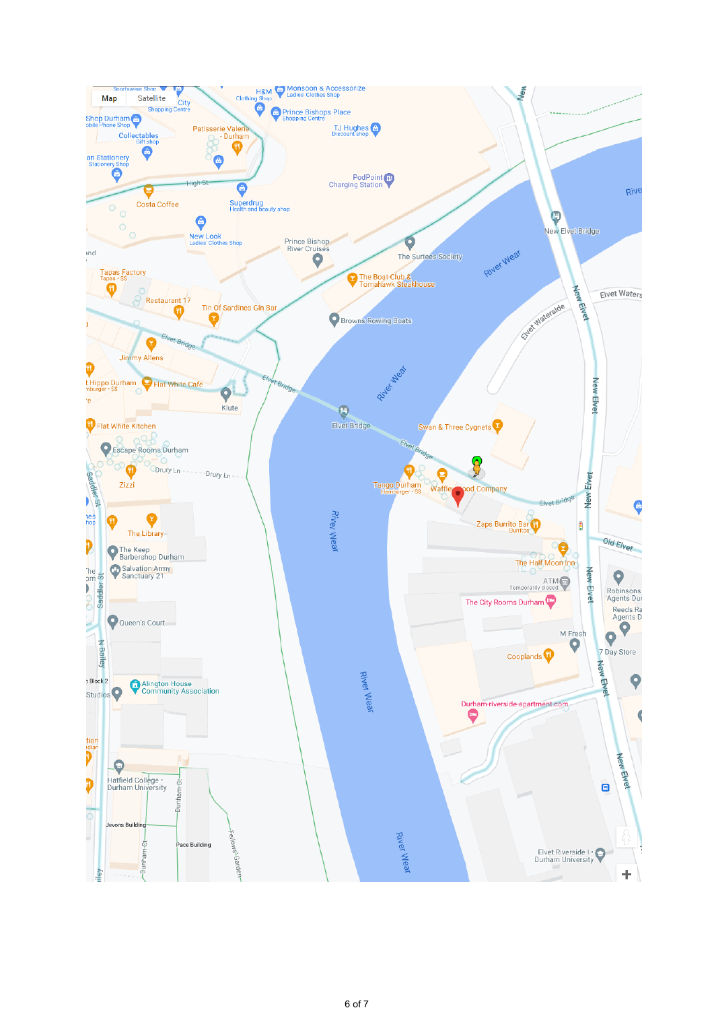